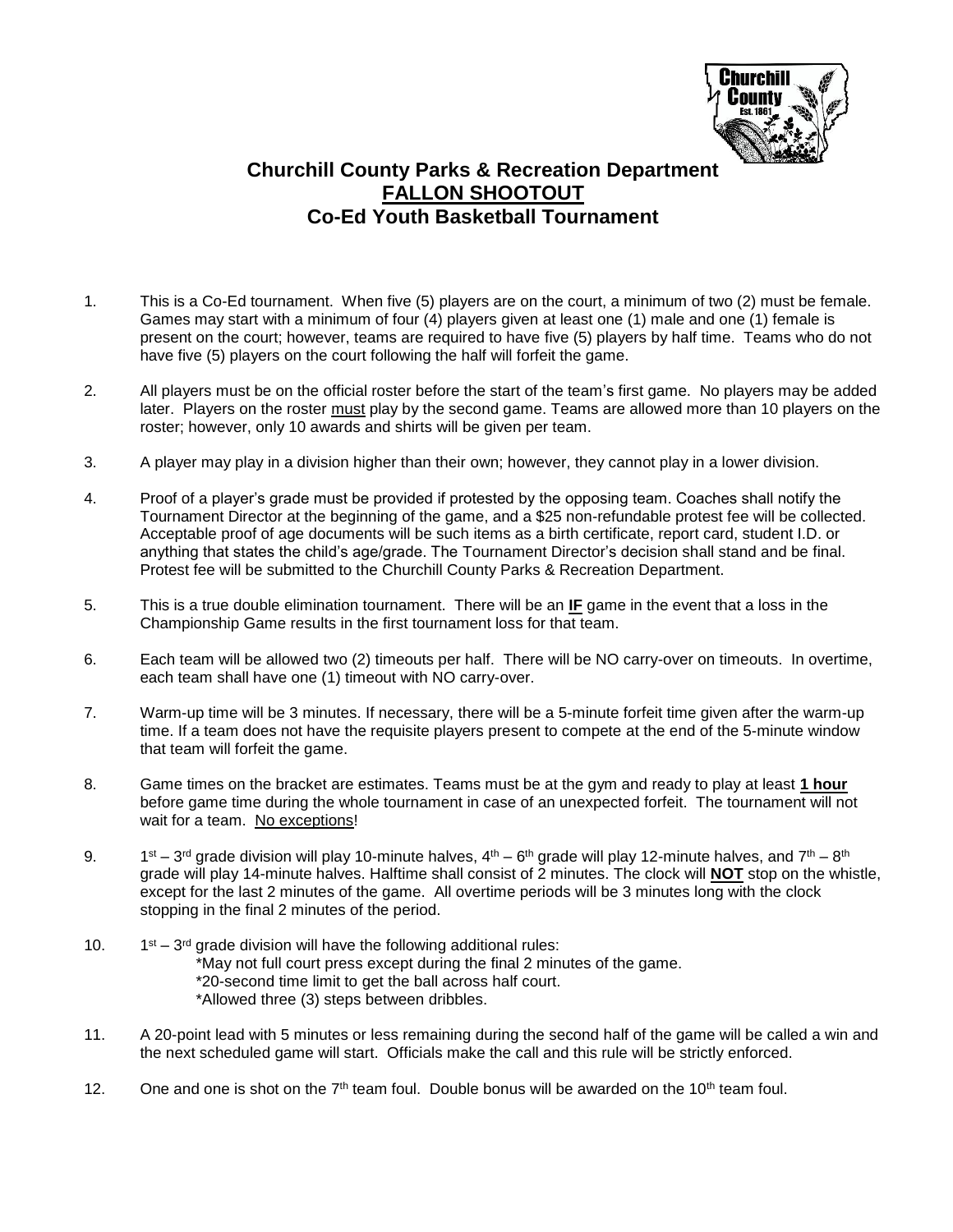

## **Churchill County Parks & Recreation Department FALLON SHOOTOUT Co-Ed Youth Basketball Tournament**

- 1. This is a Co-Ed tournament. When five (5) players are on the court, a minimum of two (2) must be female. Games may start with a minimum of four (4) players given at least one (1) male and one (1) female is present on the court; however, teams are required to have five (5) players by half time. Teams who do not have five (5) players on the court following the half will forfeit the game.
- 2. All players must be on the official roster before the start of the team's first game. No players may be added later. Players on the roster must play by the second game. Teams are allowed more than 10 players on the roster; however, only 10 awards and shirts will be given per team.
- 3. A player may play in a division higher than their own; however, they cannot play in a lower division.
- 4. Proof of a player's grade must be provided if protested by the opposing team. Coaches shall notify the Tournament Director at the beginning of the game, and a \$25 non-refundable protest fee will be collected. Acceptable proof of age documents will be such items as a birth certificate, report card, student I.D. or anything that states the child's age/grade. The Tournament Director's decision shall stand and be final. Protest fee will be submitted to the Churchill County Parks & Recreation Department.
- 5. This is a true double elimination tournament. There will be an **IF** game in the event that a loss in the Championship Game results in the first tournament loss for that team.
- 6. Each team will be allowed two (2) timeouts per half. There will be NO carry-over on timeouts. In overtime, each team shall have one (1) timeout with NO carry-over.
- 7. Warm-up time will be 3 minutes. If necessary, there will be a 5-minute forfeit time given after the warm-up time. If a team does not have the requisite players present to compete at the end of the 5-minute window that team will forfeit the game.
- 8. Game times on the bracket are estimates. Teams must be at the gym and ready to play at least **1 hour** before game time during the whole tournament in case of an unexpected forfeit. The tournament will not wait for a team. No exceptions!
- 9. 1  $^{\rm st}$  – 3<sup>rd</sup> grade division will play 10-minute halves, 4<sup>th</sup> – 6<sup>th</sup> grade will play 12-minute halves, and 7<sup>th</sup> – 8<sup>th</sup> grade will play 14-minute halves. Halftime shall consist of 2 minutes. The clock will **NOT** stop on the whistle, except for the last 2 minutes of the game. All overtime periods will be 3 minutes long with the clock stopping in the final 2 minutes of the period.
- $10<sub>1</sub>$  $st - 3$ <sup>rd</sup> grade division will have the following additional rules: \*May not full court press except during the final 2 minutes of the game. \*20-second time limit to get the ball across half court. \*Allowed three (3) steps between dribbles.
- 11. A 20-point lead with 5 minutes or less remaining during the second half of the game will be called a win and the next scheduled game will start. Officials make the call and this rule will be strictly enforced.
- 12. One and one is shot on the  $7<sup>th</sup>$  team foul. Double bonus will be awarded on the 10<sup>th</sup> team foul.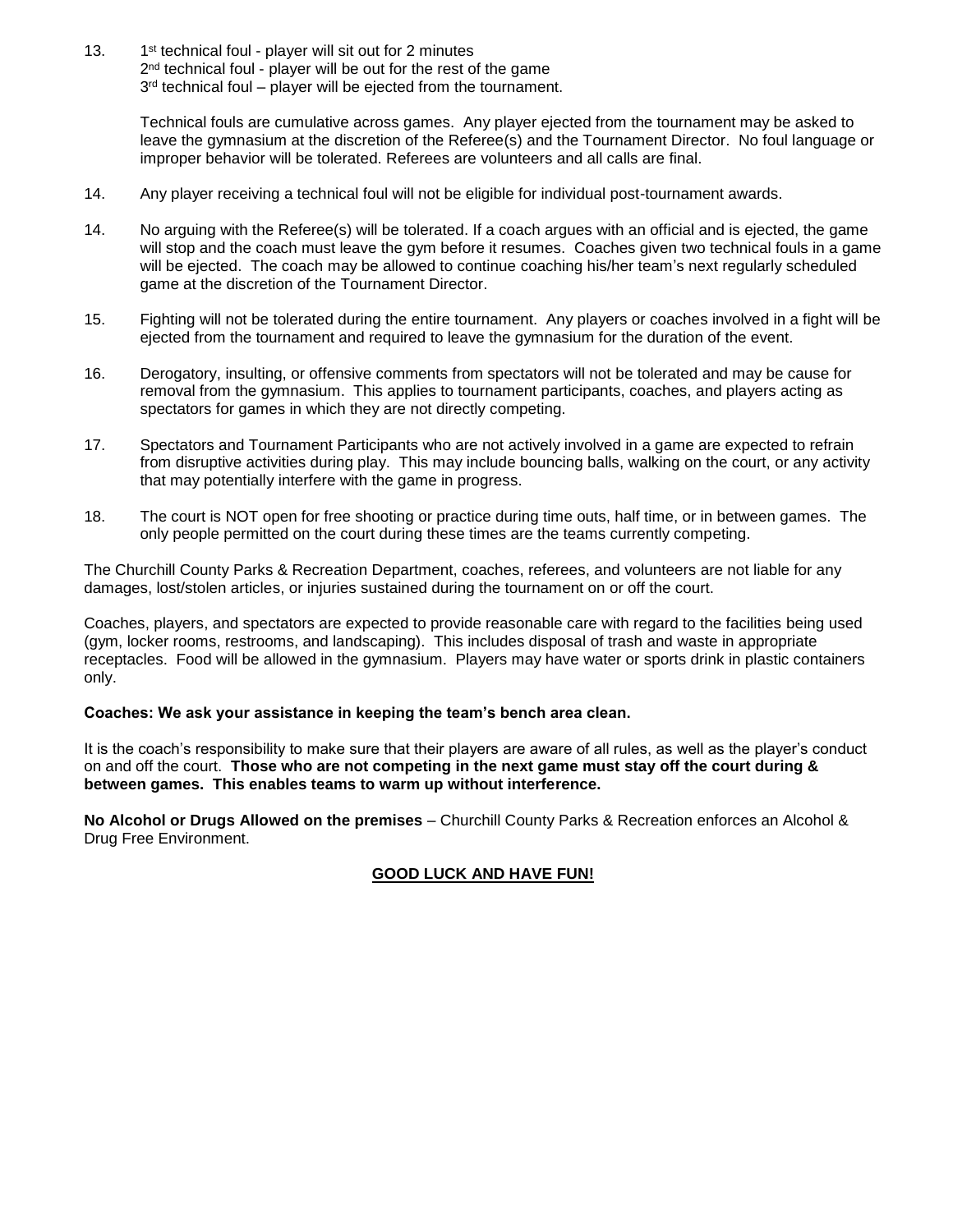13. 1<sup>st</sup> technical foul - player will sit out for 2 minutes 2<sup>nd</sup> technical foul - player will be out for the rest of the game 3<sup>rd</sup> technical foul – player will be ejected from the tournament.

> Technical fouls are cumulative across games. Any player ejected from the tournament may be asked to leave the gymnasium at the discretion of the Referee(s) and the Tournament Director. No foul language or improper behavior will be tolerated. Referees are volunteers and all calls are final.

- 14. Any player receiving a technical foul will not be eligible for individual post-tournament awards.
- 14. No arguing with the Referee(s) will be tolerated. If a coach argues with an official and is ejected, the game will stop and the coach must leave the gym before it resumes. Coaches given two technical fouls in a game will be ejected. The coach may be allowed to continue coaching his/her team's next regularly scheduled game at the discretion of the Tournament Director.
- 15. Fighting will not be tolerated during the entire tournament. Any players or coaches involved in a fight will be ejected from the tournament and required to leave the gymnasium for the duration of the event.
- 16. Derogatory, insulting, or offensive comments from spectators will not be tolerated and may be cause for removal from the gymnasium. This applies to tournament participants, coaches, and players acting as spectators for games in which they are not directly competing.
- 17. Spectators and Tournament Participants who are not actively involved in a game are expected to refrain from disruptive activities during play. This may include bouncing balls, walking on the court, or any activity that may potentially interfere with the game in progress.
- 18. The court is NOT open for free shooting or practice during time outs, half time, or in between games. The only people permitted on the court during these times are the teams currently competing.

The Churchill County Parks & Recreation Department, coaches, referees, and volunteers are not liable for any damages, lost/stolen articles, or injuries sustained during the tournament on or off the court.

Coaches, players, and spectators are expected to provide reasonable care with regard to the facilities being used (gym, locker rooms, restrooms, and landscaping). This includes disposal of trash and waste in appropriate receptacles. Food will be allowed in the gymnasium. Players may have water or sports drink in plastic containers only.

## **Coaches: We ask your assistance in keeping the team's bench area clean.**

It is the coach's responsibility to make sure that their players are aware of all rules, as well as the player's conduct on and off the court. **Those who are not competing in the next game must stay off the court during & between games. This enables teams to warm up without interference.**

**No Alcohol or Drugs Allowed on the premises** – Churchill County Parks & Recreation enforces an Alcohol & Drug Free Environment.

## **GOOD LUCK AND HAVE FUN!**